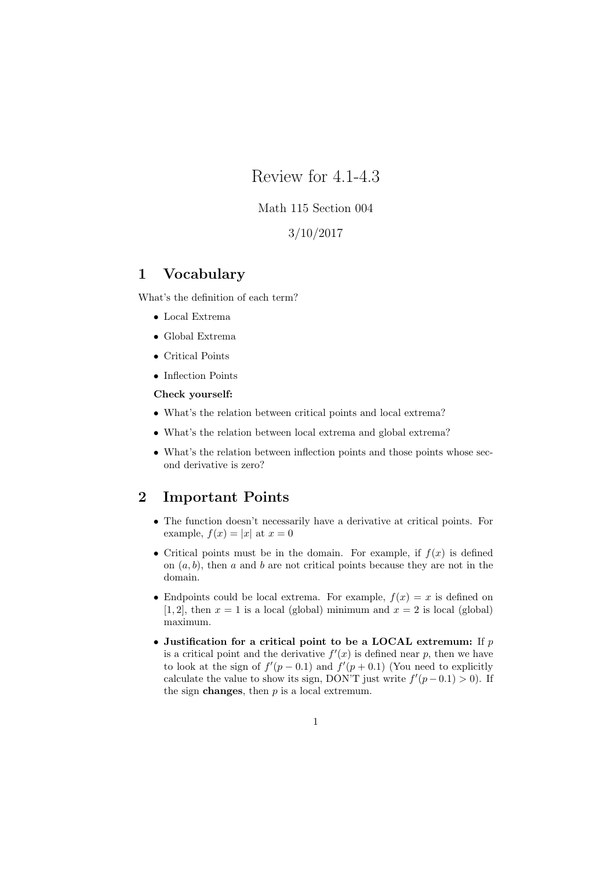Review for 4.1-4.3

### Math 115 Section 004

3/10/2017

## 1 Vocabulary

What's the definition of each term?

- Local Extrema
- Global Extrema
- Critical Points
- Inflection Points

#### Check yourself:

- What's the relation between critical points and local extrema?
- What's the relation between local extrema and global extrema?
- What's the relation between inflection points and those points whose second derivative is zero?

# 2 Important Points

- The function doesn't necessarily have a derivative at critical points. For example,  $f(x) = |x|$  at  $x = 0$
- Critical points must be in the domain. For example, if  $f(x)$  is defined on  $(a, b)$ , then a and b are not critical points because they are not in the domain.
- Endpoints could be local extrema. For example,  $f(x) = x$  is defined on [1, 2], then  $x = 1$  is a local (global) minimum and  $x = 2$  is local (global) maximum.
- Justification for a critical point to be a LOCAL extremum: If  $p$ is a critical point and the derivative  $f'(x)$  is defined near p, then we have to look at the sign of  $f'(p-0.1)$  and  $f'(p+0.1)$  (You need to explicitly calculate the value to show its sign, DON'T just write  $f'(p-0.1) > 0$ ). If the sign **changes**, then  $p$  is a local extremum.